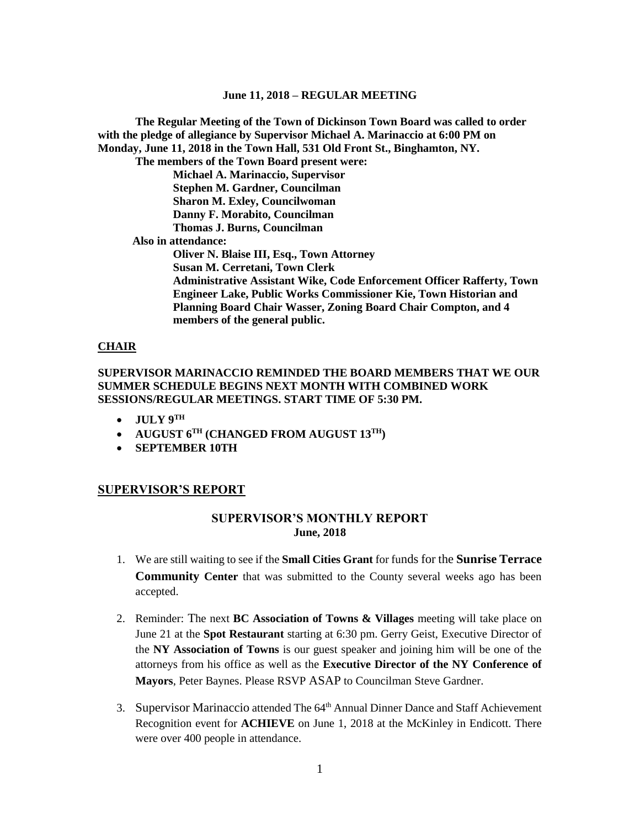**The Regular Meeting of the Town of Dickinson Town Board was called to order with the pledge of allegiance by Supervisor Michael A. Marinaccio at 6:00 PM on Monday, June 11, 2018 in the Town Hall, 531 Old Front St., Binghamton, NY. The members of the Town Board present were: Michael A. Marinaccio, Supervisor Stephen M. Gardner, Councilman Sharon M. Exley, Councilwoman Danny F. Morabito, Councilman Thomas J. Burns, Councilman Also in attendance: Oliver N. Blaise III, Esq., Town Attorney Susan M. Cerretani, Town Clerk Administrative Assistant Wike, Code Enforcement Officer Rafferty, Town Engineer Lake, Public Works Commissioner Kie, Town Historian and Planning Board Chair Wasser, Zoning Board Chair Compton, and 4 members of the general public.**

### **CHAIR**

# **SUPERVISOR MARINACCIO REMINDED THE BOARD MEMBERS THAT WE OUR SUMMER SCHEDULE BEGINS NEXT MONTH WITH COMBINED WORK SESSIONS/REGULAR MEETINGS. START TIME OF 5:30 PM.**

- $\bullet$  **JULY 9<sup>TH</sup>**
- **AUGUST 6TH (CHANGED FROM AUGUST 13TH)**
- **SEPTEMBER 10TH**

### **SUPERVISOR'S REPORT**

# **SUPERVISOR'S MONTHLY REPORT June, 2018**

- 1. We are still waiting to see if the **Small Cities Grant** for funds for the **Sunrise Terrace Community Center** that was submitted to the County several weeks ago has been accepted.
- 2. Reminder: The next **BC Association of Towns & Villages** meeting will take place on June 21 at the **Spot Restaurant** starting at 6:30 pm. Gerry Geist, Executive Director of the **NY Association of Towns** is our guest speaker and joining him will be one of the attorneys from his office as well as the **Executive Director of the NY Conference of Mayors**, Peter Baynes. Please RSVP ASAP to Councilman Steve Gardner.
- 3. Supervisor Marinaccio attended The 64<sup>th</sup> Annual Dinner Dance and Staff Achievement Recognition event for **ACHIEVE** on June 1, 2018 at the McKinley in Endicott. There were over 400 people in attendance.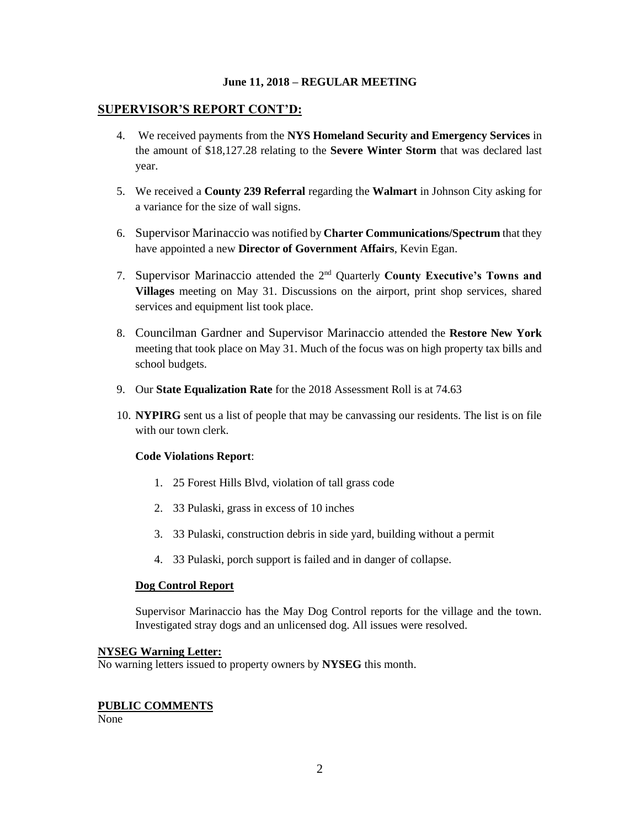# **SUPERVISOR'S REPORT CONT'D:**

- 4. We received payments from the **NYS Homeland Security and Emergency Services** in the amount of \$18,127.28 relating to the **Severe Winter Storm** that was declared last year.
- 5. We received a **County 239 Referral** regarding the **Walmart** in Johnson City asking for a variance for the size of wall signs.
- 6. Supervisor Marinaccio was notified by **Charter Communications/Spectrum** that they have appointed a new **Director of Government Affairs**, Kevin Egan.
- 7. Supervisor Marinaccio attended the 2nd Quarterly **County Executive's Towns and Villages** meeting on May 31. Discussions on the airport, print shop services, shared services and equipment list took place.
- 8. Councilman Gardner and Supervisor Marinaccio attended the **Restore New York** meeting that took place on May 31. Much of the focus was on high property tax bills and school budgets.
- 9. Our **State Equalization Rate** for the 2018 Assessment Roll is at 74.63
- 10. **NYPIRG** sent us a list of people that may be canvassing our residents. The list is on file with our town clerk.

# **Code Violations Report**:

- 1. 25 Forest Hills Blvd, violation of tall grass code
- 2. 33 Pulaski, grass in excess of 10 inches
- 3. 33 Pulaski, construction debris in side yard, building without a permit
- 4. 33 Pulaski, porch support is failed and in danger of collapse.

# **Dog Control Report**

Supervisor Marinaccio has the May Dog Control reports for the village and the town. Investigated stray dogs and an unlicensed dog. All issues were resolved.

#### **NYSEG Warning Letter:**

No warning letters issued to property owners by **NYSEG** this month.

# **PUBLIC COMMENTS**

None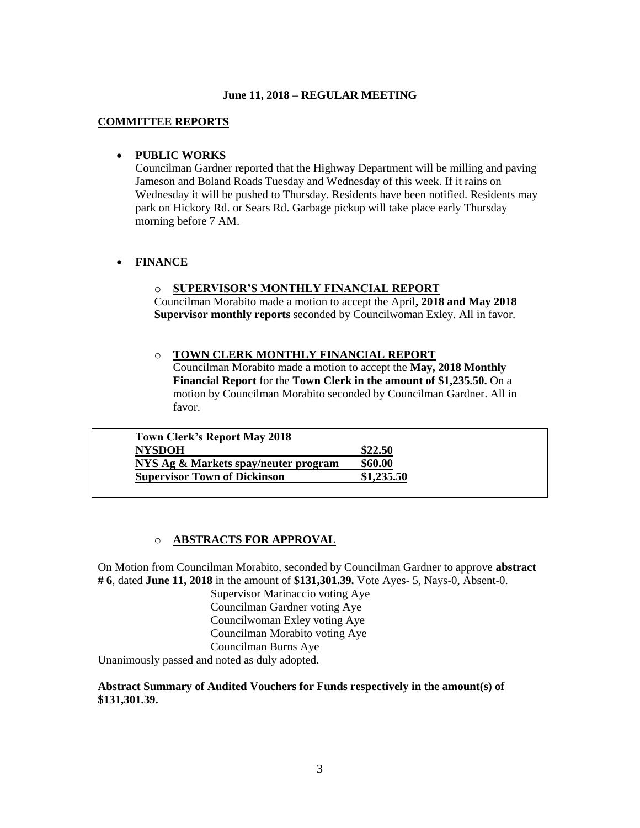### **COMMITTEE REPORTS**

# **PUBLIC WORKS**

Councilman Gardner reported that the Highway Department will be milling and paving Jameson and Boland Roads Tuesday and Wednesday of this week. If it rains on Wednesday it will be pushed to Thursday. Residents have been notified. Residents may park on Hickory Rd. or Sears Rd. Garbage pickup will take place early Thursday morning before 7 AM.

# **FINANCE**

# o **SUPERVISOR'S MONTHLY FINANCIAL REPORT**

Councilman Morabito made a motion to accept the April**, 2018 and May 2018 Supervisor monthly reports** seconded by Councilwoman Exley. All in favor.

### o **TOWN CLERK MONTHLY FINANCIAL REPORT**

Councilman Morabito made a motion to accept the **May, 2018 Monthly Financial Report** for the **Town Clerk in the amount of \$1,235.50.** On a motion by Councilman Morabito seconded by Councilman Gardner. All in favor.

| <b>Town Clerk's Report May 2018</b>  |            |
|--------------------------------------|------------|
| <b>NYSDOH</b>                        | \$22.50    |
| NYS Ag & Markets spay/neuter program | \$60.00    |
| <b>Supervisor Town of Dickinson</b>  | \$1,235.50 |

# o **ABSTRACTS FOR APPROVAL**

On Motion from Councilman Morabito, seconded by Councilman Gardner to approve **abstract # 6**, dated **June 11, 2018** in the amount of **\$131,301.39.** Vote Ayes- 5, Nays-0, Absent-0.

Supervisor Marinaccio voting Aye Councilman Gardner voting Aye Councilwoman Exley voting Aye Councilman Morabito voting Aye Councilman Burns Aye

Unanimously passed and noted as duly adopted.

# **Abstract Summary of Audited Vouchers for Funds respectively in the amount(s) of \$131,301.39.**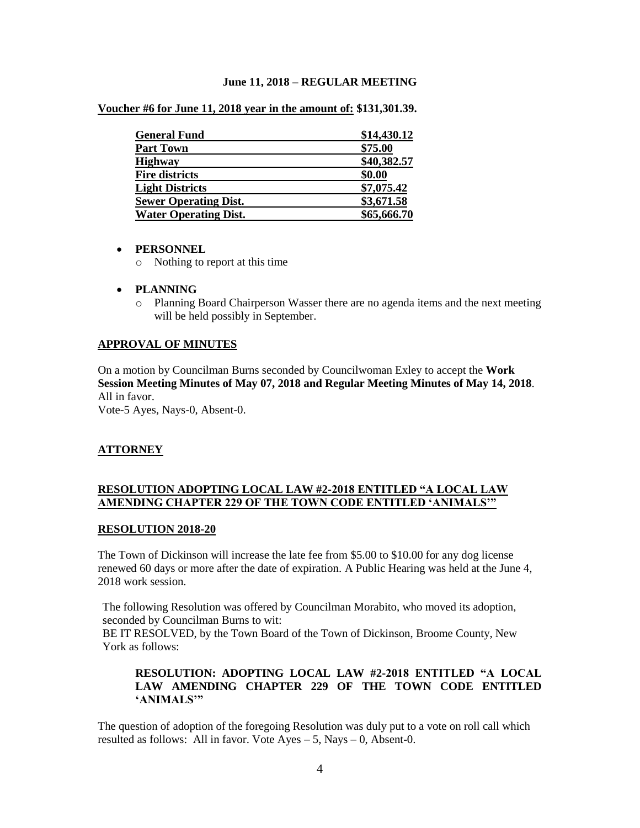| <b>General Fund</b>          | \$14,430.12 |
|------------------------------|-------------|
| <b>Part Town</b>             | \$75.00     |
| <b>Highway</b>               | \$40,382.57 |
| <b>Fire districts</b>        | \$0.00      |
| <b>Light Districts</b>       | \$7,075.42  |
| <b>Sewer Operating Dist.</b> | \$3,671.58  |
| <b>Water Operating Dist.</b> | \$65,666.70 |

**Voucher #6 for June 11, 2018 year in the amount of: \$131,301.39.** 

### **PERSONNEL**

- o Nothing to report at this time
- **PLANNING**
	- o Planning Board Chairperson Wasser there are no agenda items and the next meeting will be held possibly in September.

# **APPROVAL OF MINUTES**

On a motion by Councilman Burns seconded by Councilwoman Exley to accept the **Work Session Meeting Minutes of May 07, 2018 and Regular Meeting Minutes of May 14, 2018**. All in favor.

Vote-5 Ayes, Nays-0, Absent-0.

# **ATTORNEY**

# **RESOLUTION ADOPTING LOCAL LAW #2-2018 ENTITLED "A LOCAL LAW AMENDING CHAPTER 229 OF THE TOWN CODE ENTITLED 'ANIMALS'"**

#### **RESOLUTION 2018-20**

The Town of Dickinson will increase the late fee from \$5.00 to \$10.00 for any dog license renewed 60 days or more after the date of expiration. A Public Hearing was held at the June 4, 2018 work session.

The following Resolution was offered by Councilman Morabito, who moved its adoption, seconded by Councilman Burns to wit:

BE IT RESOLVED, by the Town Board of the Town of Dickinson, Broome County, New York as follows:

# **RESOLUTION: ADOPTING LOCAL LAW #2-2018 ENTITLED "A LOCAL LAW AMENDING CHAPTER 229 OF THE TOWN CODE ENTITLED 'ANIMALS'"**

The question of adoption of the foregoing Resolution was duly put to a vote on roll call which resulted as follows: All in favor. Vote  $Ayes - 5$ , Nays  $- 0$ , Absent-0.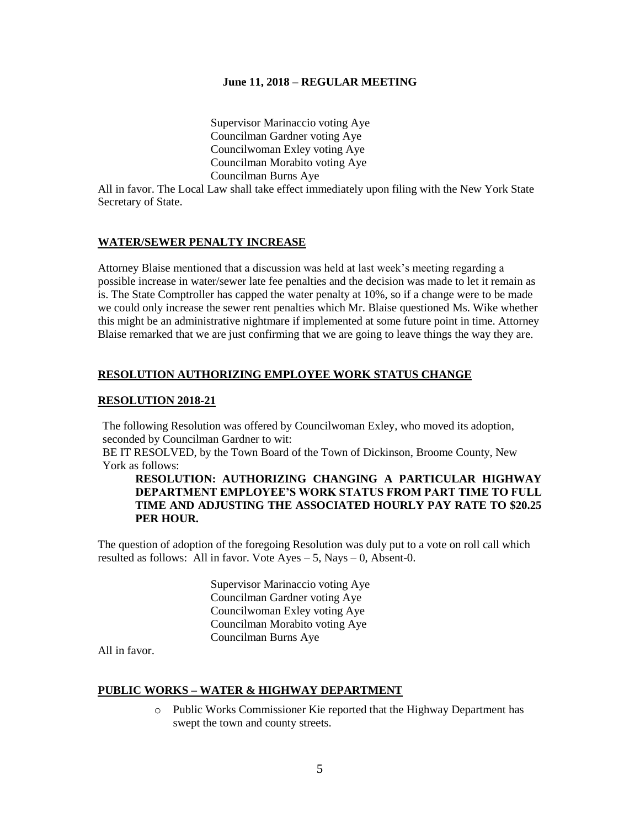Supervisor Marinaccio voting Aye Councilman Gardner voting Aye Councilwoman Exley voting Aye Councilman Morabito voting Aye Councilman Burns Aye

All in favor. The Local Law shall take effect immediately upon filing with the New York State Secretary of State.

# **WATER/SEWER PENALTY INCREASE**

Attorney Blaise mentioned that a discussion was held at last week's meeting regarding a possible increase in water/sewer late fee penalties and the decision was made to let it remain as is. The State Comptroller has capped the water penalty at 10%, so if a change were to be made we could only increase the sewer rent penalties which Mr. Blaise questioned Ms. Wike whether this might be an administrative nightmare if implemented at some future point in time. Attorney Blaise remarked that we are just confirming that we are going to leave things the way they are.

# **RESOLUTION AUTHORIZING EMPLOYEE WORK STATUS CHANGE**

### **RESOLUTION 2018-21**

The following Resolution was offered by Councilwoman Exley, who moved its adoption, seconded by Councilman Gardner to wit:

BE IT RESOLVED, by the Town Board of the Town of Dickinson, Broome County, New York as follows:

# **RESOLUTION: AUTHORIZING CHANGING A PARTICULAR HIGHWAY DEPARTMENT EMPLOYEE'S WORK STATUS FROM PART TIME TO FULL TIME AND ADJUSTING THE ASSOCIATED HOURLY PAY RATE TO \$20.25 PER HOUR.**

The question of adoption of the foregoing Resolution was duly put to a vote on roll call which resulted as follows: All in favor. Vote  $Ayes - 5$ , Nays  $- 0$ , Absent-0.

> Supervisor Marinaccio voting Aye Councilman Gardner voting Aye Councilwoman Exley voting Aye Councilman Morabito voting Aye Councilman Burns Aye

All in favor.

#### **PUBLIC WORKS – WATER & HIGHWAY DEPARTMENT**

o Public Works Commissioner Kie reported that the Highway Department has swept the town and county streets.